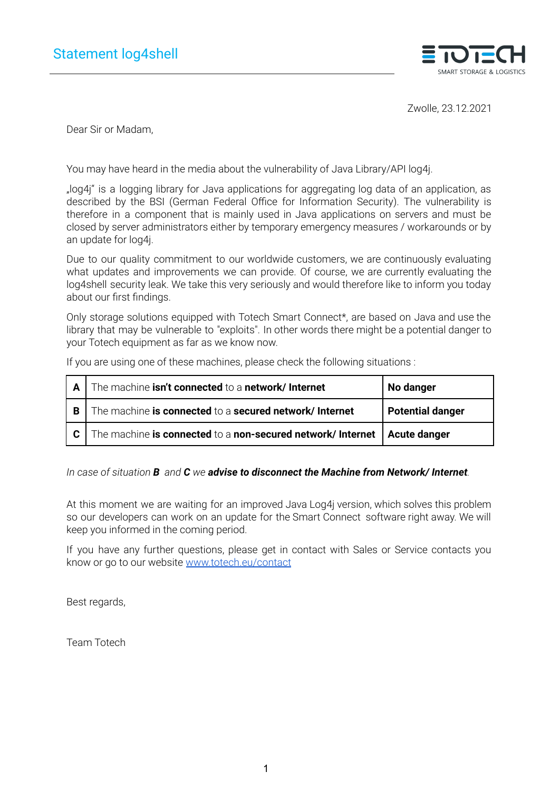

Zwolle, 23.12.2021

Dear Sir or Madam,

You may have heard in the media about the vulnerability of Java Library/API log4j.

"log4j" is a logging library for Java applications for aggregating log data of an application, as described by the BSI (German Federal Office for Information Security). The vulnerability is therefore in a component that is mainly used in Java applications on servers and must be closed by server administrators either by temporary emergency measures / workarounds or by an update for log4j.

Due to our quality commitment to our worldwide customers, we are continuously evaluating what updates and improvements we can provide. Of course, we are currently evaluating the log4shell security leak. We take this very seriously and would therefore like to inform you today about our first findings.

Only storage solutions equipped with Totech Smart Connect\*, are based on Java and use the library that may be vulnerable to "exploits". In other words there might be a potential danger to your Totech equipment as far as we know now.

If you are using one of these machines, please check the following situations :

| $\mathbf{A}$ | The machine isn't connected to a network/ Internet                         | No danger               |
|--------------|----------------------------------------------------------------------------|-------------------------|
| l B          | The machine is connected to a secured network/ Internet                    | <b>Potential danger</b> |
| ∣C.          | The machine is connected to a non-secured network/ Internet   Acute danger |                         |

*In case of situation B and C we advise to disconnect the Machine from Network/ Internet.*

At this moment we are waiting for an improved Java Log4j version, which solves this problem so our developers can work on an update for the Smart Connect software right away. We will keep you informed in the coming period.

If you have any further questions, please get in contact with Sales or Service contacts you know or go to our website [www.totech.eu/contact](http://www.superdry-totech.com/contact)

Best regards,

Team Totech